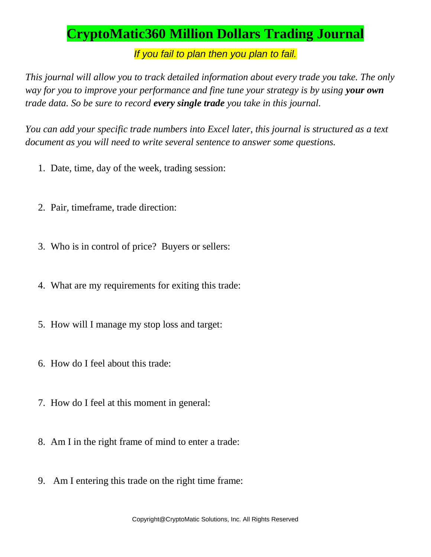## **CryptoMatic360 Million Dollars Trading Journal**

*If you fail to plan then you plan to fail.*

*This journal will allow you to track detailed information about every trade you take. The only way for you to improve your performance and fine tune your strategy is by using your own trade data. So be sure to record every single trade you take in this journal.*

*You can add your specific trade numbers into Excel later, this journal is structured as a text document as you will need to write several sentence to answer some questions.*

- 1. Date, time, day of the week, trading session:
- 2. Pair, timeframe, trade direction:
- 3. Who is in control of price? Buyers or sellers:
- 4. What are my requirements for exiting this trade:
- 5. How will I manage my stop loss and target:
- 6. How do I feel about this trade:
- 7. How do I feel at this moment in general:
- 8. Am I in the right frame of mind to enter a trade:
- 9. Am I entering this trade on the right time frame: